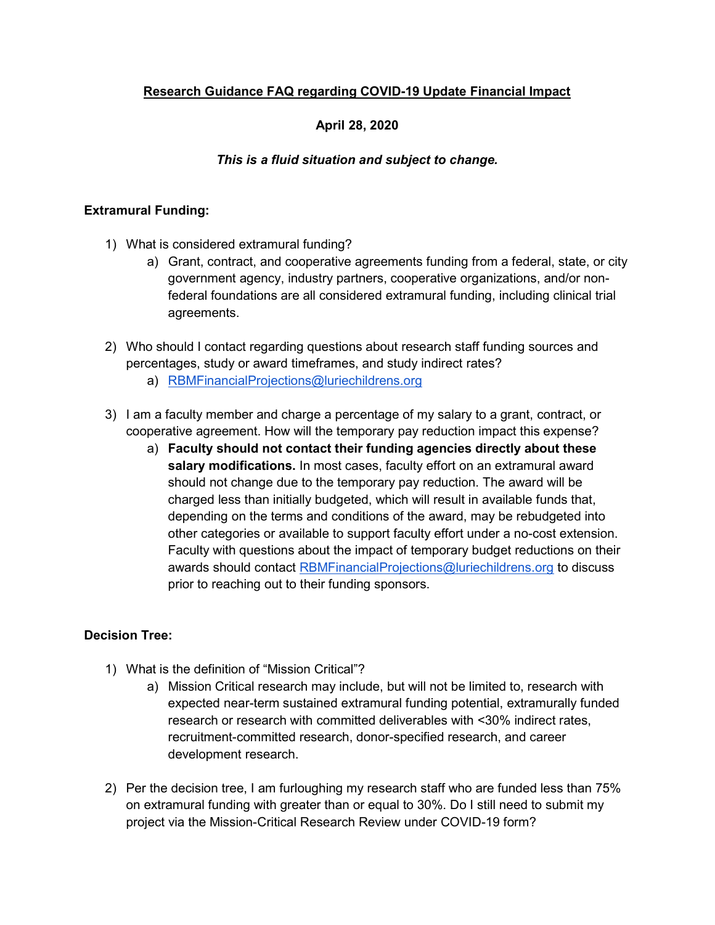# Research Guidance FAQ regarding COVID-19 Update Financial Impact

## April 28, 2020

### This is a fluid situation and subject to change.

#### Extramural Funding:

- 1) What is considered extramural funding?
	- a) Grant, contract, and cooperative agreements funding from a federal, state, or city government agency, industry partners, cooperative organizations, and/or nonfederal foundations are all considered extramural funding, including clinical trial agreements.
- 2) Who should I contact regarding questions about research staff funding sources and percentages, study or award timeframes, and study indirect rates?
	- a) RBMFinancialProjections@luriechildrens.org
- 3) I am a faculty member and charge a percentage of my salary to a grant, contract, or cooperative agreement. How will the temporary pay reduction impact this expense?
	- a) Faculty should not contact their funding agencies directly about these salary modifications. In most cases, faculty effort on an extramural award should not change due to the temporary pay reduction. The award will be charged less than initially budgeted, which will result in available funds that, depending on the terms and conditions of the award, may be rebudgeted into other categories or available to support faculty effort under a no-cost extension. Faculty with questions about the impact of temporary budget reductions on their awards should contact RBMFinancialProjections@luriechildrens.org to discuss prior to reaching out to their funding sponsors.

#### Decision Tree:

- 1) What is the definition of "Mission Critical"?
	- a) Mission Critical research may include, but will not be limited to, research with expected near-term sustained extramural funding potential, extramurally funded research or research with committed deliverables with <30% indirect rates, recruitment-committed research, donor-specified research, and career development research.
- 2) Per the decision tree, I am furloughing my research staff who are funded less than 75% on extramural funding with greater than or equal to 30%. Do I still need to submit my project via the Mission-Critical Research Review under COVID-19 form?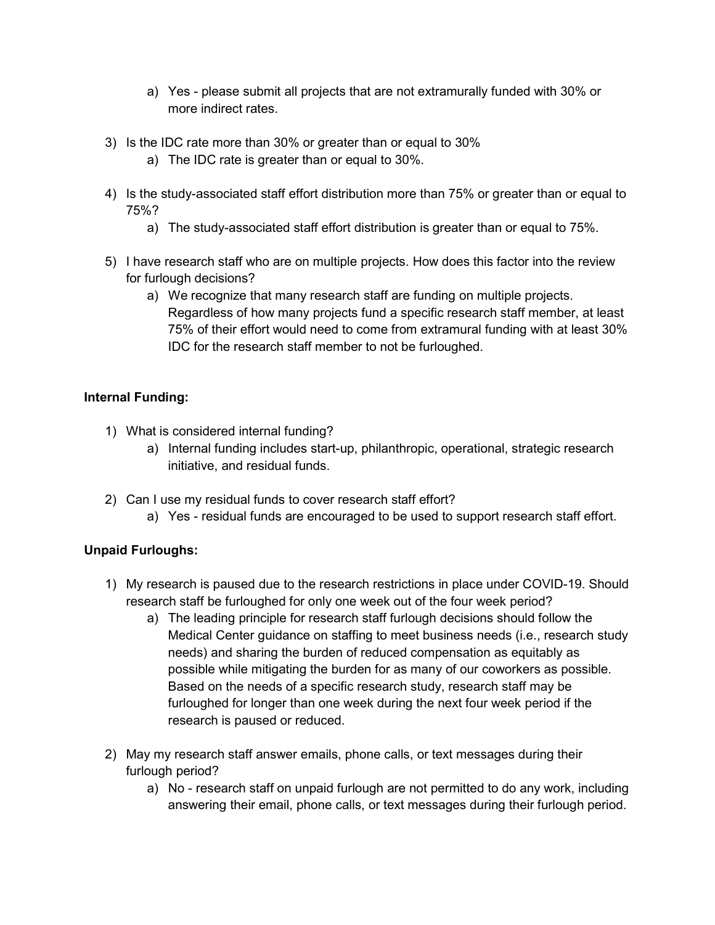- a) Yes please submit all projects that are not extramurally funded with 30% or more indirect rates.
- 3) Is the IDC rate more than 30% or greater than or equal to 30%
	- a) The IDC rate is greater than or equal to 30%.
- 4) Is the study-associated staff effort distribution more than 75% or greater than or equal to 75%?
	- a) The study-associated staff effort distribution is greater than or equal to 75%.
- 5) I have research staff who are on multiple projects. How does this factor into the review for furlough decisions?
	- a) We recognize that many research staff are funding on multiple projects. Regardless of how many projects fund a specific research staff member, at least 75% of their effort would need to come from extramural funding with at least 30% IDC for the research staff member to not be furloughed.

# Internal Funding:

- 1) What is considered internal funding?
	- a) Internal funding includes start-up, philanthropic, operational, strategic research initiative, and residual funds.
- 2) Can I use my residual funds to cover research staff effort?
	- a) Yes residual funds are encouraged to be used to support research staff effort.

### Unpaid Furloughs:

- 1) My research is paused due to the research restrictions in place under COVID-19. Should research staff be furloughed for only one week out of the four week period?
	- a) The leading principle for research staff furlough decisions should follow the Medical Center guidance on staffing to meet business needs (i.e., research study needs) and sharing the burden of reduced compensation as equitably as possible while mitigating the burden for as many of our coworkers as possible. Based on the needs of a specific research study, research staff may be furloughed for longer than one week during the next four week period if the research is paused or reduced.
- 2) May my research staff answer emails, phone calls, or text messages during their furlough period?
	- a) No research staff on unpaid furlough are not permitted to do any work, including answering their email, phone calls, or text messages during their furlough period.